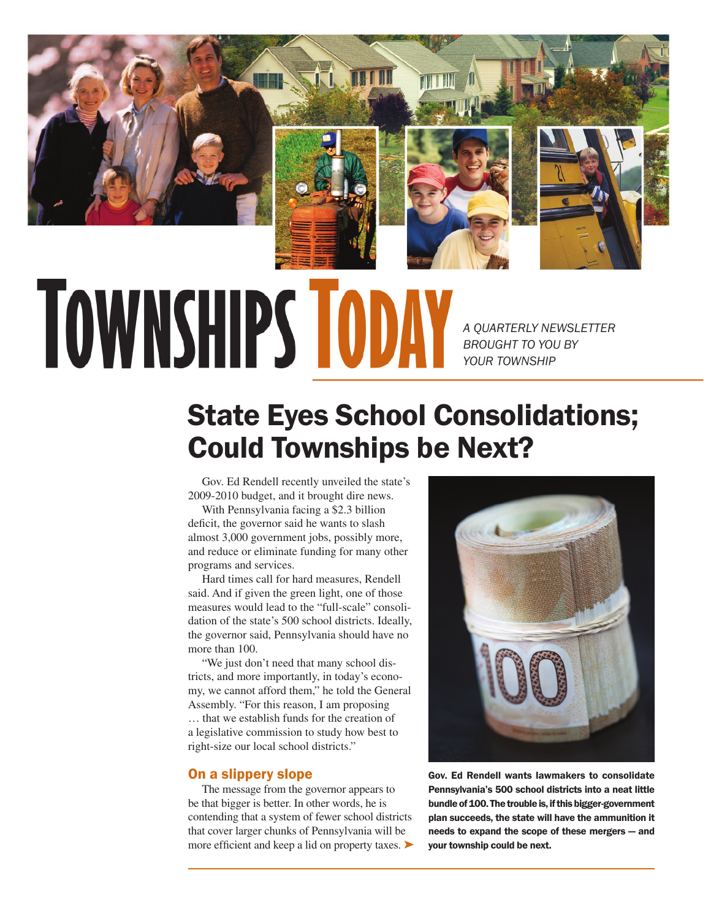

# **TOWNSHIPS TODA**

*A QUARTERLY NEWSLETTER BROUGHT TO YOU BY YOUR TOWNSHIP*

# State Eyes School Consolidations; Could Townships be Next?

Gov. Ed Rendell recently unveiled the state's 2009-2010 budget, and it brought dire news.

With Pennsylvania facing a \$2.3 billion deficit, the governor said he wants to slash almost 3,000 government jobs, possibly more, and reduce or eliminate funding for many other programs and services.

Hard times call for hard measures, Rendell said. And if given the green light, one of those measures would lead to the "full-scale" consolidation of the state's 500 school districts. Ideally, the governor said, Pennsylvania should have no more than 100.

"We just don't need that many school districts, and more importantly, in today's economy, we cannot afford them," he told the General Assembly. "For this reason, I am proposing … that we establish funds for the creation of a legislative commission to study how best to right-size our local school districts."

### On a slippery slope

The message from the governor appears to be that bigger is better. In other words, he is contending that a system of fewer school districts that cover larger chunks of Pennsylvania will be more efficient and keep a lid on property taxes.  $\blacktriangleright$ 



Gov. Ed Rendell wants lawmakers to consolidate Pennsylvania's 500 school districts into a neat little bundle of 100. The trouble is, if this bigger-government plan succeeds, the state will have the ammunition it needs to expand the scope of these mergers — and your township could be next.